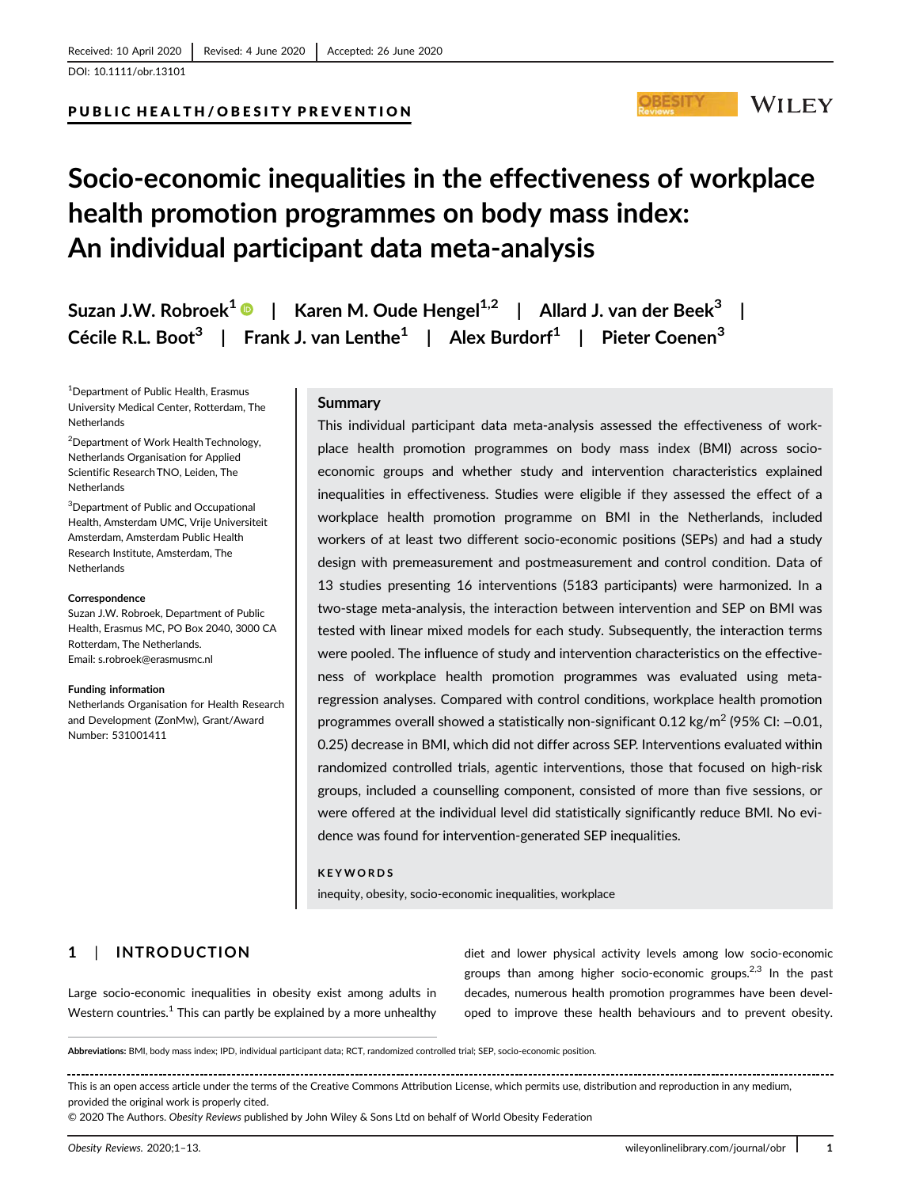[DOI: 10.1111/obr.13101](https://doi.org/10.1111/obr.13101)

### PUBLIC HEALTH/OBESITY PREVENTION

# **Socio-economic inequalities in the effectiveness of workplace health promotion programmes on body mass index: An individual participant data meta-analysis**

**Suzan J.W. Robroek<sup>1</sup> | Karen M. Oude Hengel1,2 | Allard J. van der Beek<sup>3</sup> | Cécile R.L. Boot<sup>3</sup> | Frank J. van Lenthe<sup>1</sup> | Alex Burdorf1 | Pieter Coenen3**

1 Department of Public Health, Erasmus University Medical Center, Rotterdam, The Netherlands

2 Department of Work Health Technology, Netherlands Organisation for Applied Scientific Research TNO, Leiden, The Netherlands

3 Department of Public and Occupational Health, Amsterdam UMC, Vrije Universiteit Amsterdam, Amsterdam Public Health Research Institute, Amsterdam, The **Netherlands** 

#### **Correspondence**

Suzan J.W. Robroek, Department of Public Health, Erasmus MC, PO Box 2040, 3000 CA Rotterdam, The Netherlands. Email: [s.robroek@erasmusmc.nl](mailto:s.robroek@erasmusmc.nl)

#### **Funding information**

Netherlands Organisation for Health Research and Development (ZonMw), Grant/Award Number: 531001411

# **Summary**

This individual participant data meta-analysis assessed the effectiveness of workplace health promotion programmes on body mass index (BMI) across socioeconomic groups and whether study and intervention characteristics explained inequalities in effectiveness. Studies were eligible if they assessed the effect of a workplace health promotion programme on BMI in the Netherlands, included workers of at least two different socio-economic positions (SEPs) and had a study design with premeasurement and postmeasurement and control condition. Data of 13 studies presenting 16 interventions (5183 participants) were harmonized. In a two-stage meta-analysis, the interaction between intervention and SEP on BMI was tested with linear mixed models for each study. Subsequently, the interaction terms were pooled. The influence of study and intervention characteristics on the effectiveness of workplace health promotion programmes was evaluated using metaregression analyses. Compared with control conditions, workplace health promotion programmes overall showed a statistically non-significant 0.12 kg/m<sup>2</sup> (95% CI: −0.01, 0.25) decrease in BMI, which did not differ across SEP. Interventions evaluated within randomized controlled trials, agentic interventions, those that focused on high-risk groups, included a counselling component, consisted of more than five sessions, or were offered at the individual level did statistically significantly reduce BMI. No evidence was found for intervention-generated SEP inequalities.

#### **KEYWORDS**

inequity, obesity, socio-economic inequalities, workplace

# **1** | **INTRODUCTION**

Large socio-economic inequalities in obesity exist among adults in Western countries.<sup>1</sup> This can partly be explained by a more unhealthy

diet and lower physical activity levels among low socio-economic groups than among higher socio-economic groups.<sup>2,3</sup> In the past decades, numerous health promotion programmes have been developed to improve these health behaviours and to prevent obesity.

**Abbreviations:** BMI, body mass index; IPD, individual participant data; RCT, randomized controlled trial; SEP, socio-economic position.

This is an open access article under the terms of the [Creative Commons Attribution](http://creativecommons.org/licenses/by/4.0/) License, which permits use, distribution and reproduction in any medium, provided the original work is properly cited.

© 2020 The Authors. *Obesity Reviews* published by John Wiley & Sons Ltd on behalf of World Obesity Federation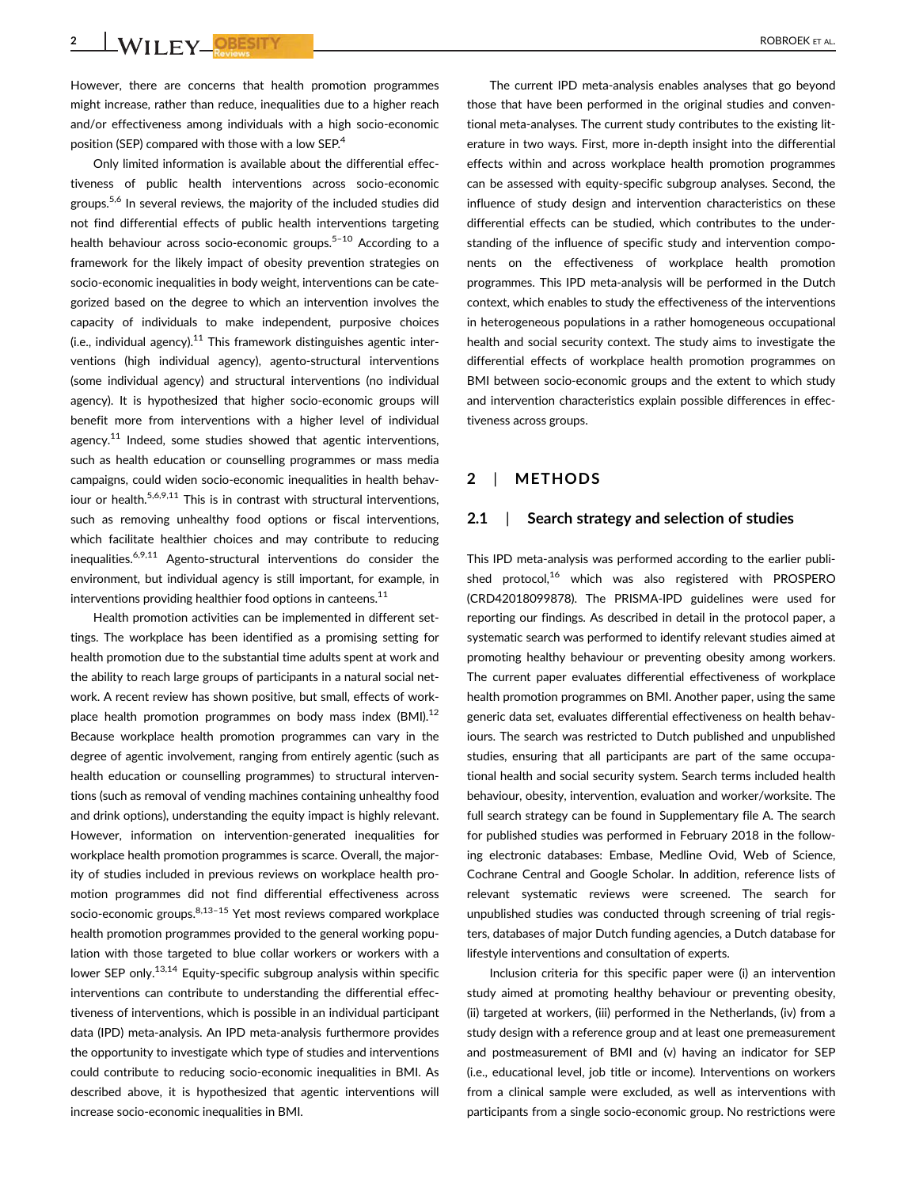**2 WILEY OBESITY ROBROEK ET AL.** 

However, there are concerns that health promotion programmes might increase, rather than reduce, inequalities due to a higher reach and/or effectiveness among individuals with a high socio-economic position (SEP) compared with those with a low SEP.<sup>4</sup>

Only limited information is available about the differential effectiveness of public health interventions across socio-economic groups.5,6 In several reviews, the majority of the included studies did not find differential effects of public health interventions targeting health behaviour across socio-economic groups. $5-10$  According to a framework for the likely impact of obesity prevention strategies on socio-economic inequalities in body weight, interventions can be categorized based on the degree to which an intervention involves the capacity of individuals to make independent, purposive choices (i.e., individual agency). $11$  This framework distinguishes agentic interventions (high individual agency), agento-structural interventions (some individual agency) and structural interventions (no individual agency). It is hypothesized that higher socio-economic groups will benefit more from interventions with a higher level of individual agency. $11$  Indeed, some studies showed that agentic interventions, such as health education or counselling programmes or mass media campaigns, could widen socio-economic inequalities in health behaviour or health. $5,6,9,11$  This is in contrast with structural interventions, such as removing unhealthy food options or fiscal interventions, which facilitate healthier choices and may contribute to reducing inequalities.  $6,9,11$  Agento-structural interventions do consider the environment, but individual agency is still important, for example, in interventions providing healthier food options in canteens. $11$ 

Health promotion activities can be implemented in different settings. The workplace has been identified as a promising setting for health promotion due to the substantial time adults spent at work and the ability to reach large groups of participants in a natural social network. A recent review has shown positive, but small, effects of workplace health promotion programmes on body mass index  $(BMI).<sup>12</sup>$ Because workplace health promotion programmes can vary in the degree of agentic involvement, ranging from entirely agentic (such as health education or counselling programmes) to structural interventions (such as removal of vending machines containing unhealthy food and drink options), understanding the equity impact is highly relevant. However, information on intervention-generated inequalities for workplace health promotion programmes is scarce. Overall, the majority of studies included in previous reviews on workplace health promotion programmes did not find differential effectiveness across socio-economic groups.<sup>8,13-15</sup> Yet most reviews compared workplace health promotion programmes provided to the general working population with those targeted to blue collar workers or workers with a lower SEP only.<sup>13,14</sup> Equity-specific subgroup analysis within specific interventions can contribute to understanding the differential effectiveness of interventions, which is possible in an individual participant data (IPD) meta-analysis. An IPD meta-analysis furthermore provides the opportunity to investigate which type of studies and interventions could contribute to reducing socio-economic inequalities in BMI. As described above, it is hypothesized that agentic interventions will increase socio-economic inequalities in BMI.

The current IPD meta-analysis enables analyses that go beyond those that have been performed in the original studies and conventional meta-analyses. The current study contributes to the existing literature in two ways. First, more in-depth insight into the differential effects within and across workplace health promotion programmes can be assessed with equity-specific subgroup analyses. Second, the influence of study design and intervention characteristics on these differential effects can be studied, which contributes to the understanding of the influence of specific study and intervention components on the effectiveness of workplace health promotion programmes. This IPD meta-analysis will be performed in the Dutch context, which enables to study the effectiveness of the interventions in heterogeneous populations in a rather homogeneous occupational health and social security context. The study aims to investigate the differential effects of workplace health promotion programmes on BMI between socio-economic groups and the extent to which study and intervention characteristics explain possible differences in effectiveness across groups.

# **2** | **METHODS**

# **2.1** | **Search strategy and selection of studies**

This IPD meta-analysis was performed according to the earlier published protocol, $16$  which was also registered with PROSPERO (CRD42018099878). The PRISMA-IPD guidelines were used for reporting our findings. As described in detail in the protocol paper, a systematic search was performed to identify relevant studies aimed at promoting healthy behaviour or preventing obesity among workers. The current paper evaluates differential effectiveness of workplace health promotion programmes on BMI. Another paper, using the same generic data set, evaluates differential effectiveness on health behaviours. The search was restricted to Dutch published and unpublished studies, ensuring that all participants are part of the same occupational health and social security system. Search terms included health behaviour, obesity, intervention, evaluation and worker/worksite. The full search strategy can be found in Supplementary file A. The search for published studies was performed in February 2018 in the following electronic databases: Embase, Medline Ovid, Web of Science, Cochrane Central and Google Scholar. In addition, reference lists of relevant systematic reviews were screened. The search for unpublished studies was conducted through screening of trial registers, databases of major Dutch funding agencies, a Dutch database for lifestyle interventions and consultation of experts.

Inclusion criteria for this specific paper were (i) an intervention study aimed at promoting healthy behaviour or preventing obesity, (ii) targeted at workers, (iii) performed in the Netherlands, (iv) from a study design with a reference group and at least one premeasurement and postmeasurement of BMI and (v) having an indicator for SEP (i.e., educational level, job title or income). Interventions on workers from a clinical sample were excluded, as well as interventions with participants from a single socio-economic group. No restrictions were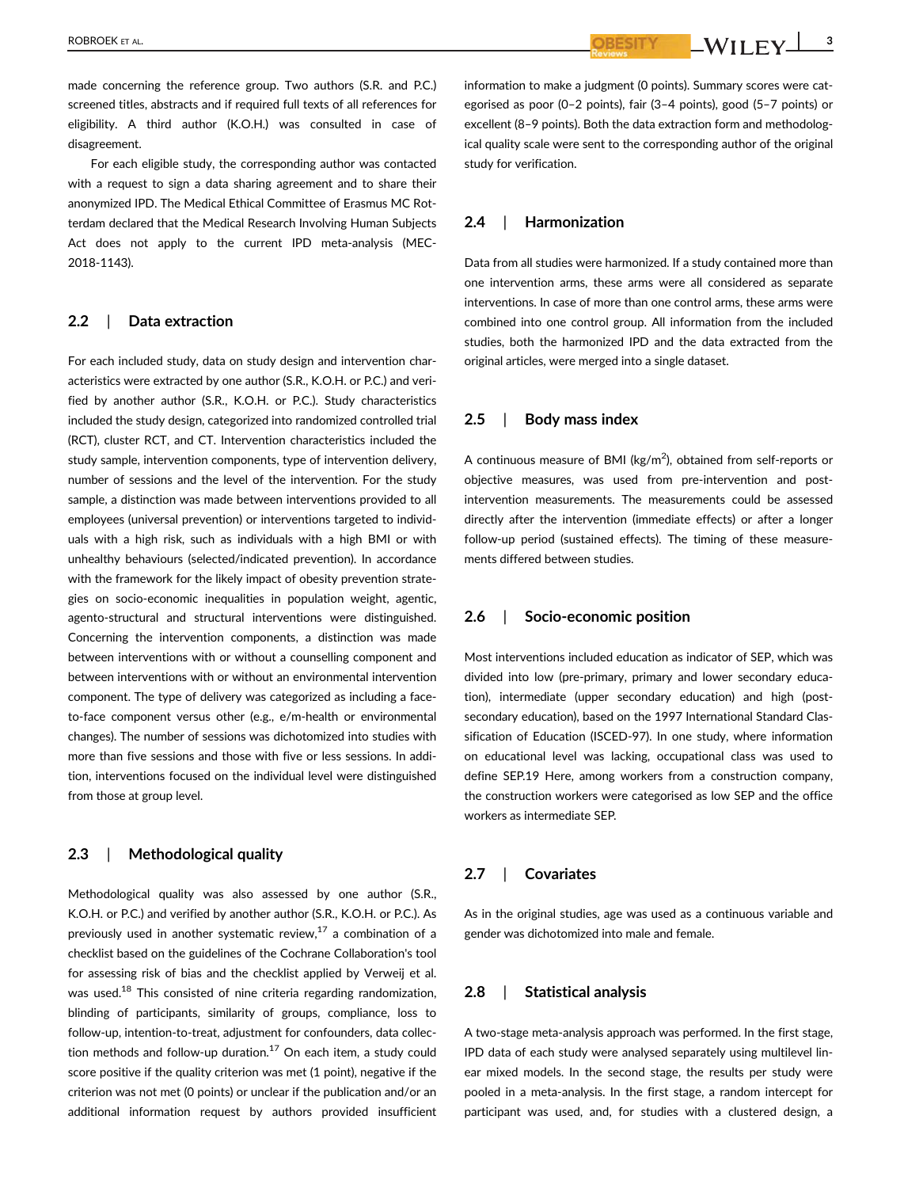ROBROEK ET AL. **3**

made concerning the reference group. Two authors (S.R. and P.C.) screened titles, abstracts and if required full texts of all references for eligibility. A third author (K.O.H.) was consulted in case of disagreement.

For each eligible study, the corresponding author was contacted with a request to sign a data sharing agreement and to share their anonymized IPD. The Medical Ethical Committee of Erasmus MC Rotterdam declared that the Medical Research Involving Human Subjects Act does not apply to the current IPD meta-analysis (MEC-2018-1143).

# **2.2** | **Data extraction**

For each included study, data on study design and intervention characteristics were extracted by one author (S.R., K.O.H. or P.C.) and verified by another author (S.R., K.O.H. or P.C.). Study characteristics included the study design, categorized into randomized controlled trial (RCT), cluster RCT, and CT. Intervention characteristics included the study sample, intervention components, type of intervention delivery, number of sessions and the level of the intervention. For the study sample, a distinction was made between interventions provided to all employees (universal prevention) or interventions targeted to individuals with a high risk, such as individuals with a high BMI or with unhealthy behaviours (selected/indicated prevention). In accordance with the framework for the likely impact of obesity prevention strategies on socio-economic inequalities in population weight, agentic, agento-structural and structural interventions were distinguished. Concerning the intervention components, a distinction was made between interventions with or without a counselling component and between interventions with or without an environmental intervention component. The type of delivery was categorized as including a faceto-face component versus other (e.g., e/m-health or environmental changes). The number of sessions was dichotomized into studies with more than five sessions and those with five or less sessions. In addition, interventions focused on the individual level were distinguished from those at group level.

### **2.3** | **Methodological quality**

Methodological quality was also assessed by one author (S.R., K.O.H. or P.C.) and verified by another author (S.R., K.O.H. or P.C.). As previously used in another systematic review, $17$  a combination of a checklist based on the guidelines of the Cochrane Collaboration's tool for assessing risk of bias and the checklist applied by Verweij et al. was used.<sup>18</sup> This consisted of nine criteria regarding randomization, blinding of participants, similarity of groups, compliance, loss to follow-up, intention-to-treat, adjustment for confounders, data collection methods and follow-up duration. $17$  On each item, a study could score positive if the quality criterion was met (1 point), negative if the criterion was not met (0 points) or unclear if the publication and/or an additional information request by authors provided insufficient information to make a judgment (0 points). Summary scores were categorised as poor (0–2 points), fair (3–4 points), good (5–7 points) or excellent (8–9 points). Both the data extraction form and methodological quality scale were sent to the corresponding author of the original study for verification.

# **2.4** | **Harmonization**

Data from all studies were harmonized. If a study contained more than one intervention arms, these arms were all considered as separate interventions. In case of more than one control arms, these arms were combined into one control group. All information from the included studies, both the harmonized IPD and the data extracted from the original articles, were merged into a single dataset.

## **2.5** | **Body mass index**

A continuous measure of BMI ( $\text{kg/m}^2$ ), obtained from self-reports or objective measures, was used from pre-intervention and postintervention measurements. The measurements could be assessed directly after the intervention (immediate effects) or after a longer follow-up period (sustained effects). The timing of these measurements differed between studies.

### **2.6** | **Socio-economic position**

Most interventions included education as indicator of SEP, which was divided into low (pre-primary, primary and lower secondary education), intermediate (upper secondary education) and high (postsecondary education), based on the 1997 International Standard Classification of Education (ISCED-97). In one study, where information on educational level was lacking, occupational class was used to define SEP.19 Here, among workers from a construction company, the construction workers were categorised as low SEP and the office workers as intermediate SEP.

## **2.7** | **Covariates**

As in the original studies, age was used as a continuous variable and gender was dichotomized into male and female.

# **2.8** | **Statistical analysis**

A two-stage meta-analysis approach was performed. In the first stage, IPD data of each study were analysed separately using multilevel linear mixed models. In the second stage, the results per study were pooled in a meta-analysis. In the first stage, a random intercept for participant was used, and, for studies with a clustered design, a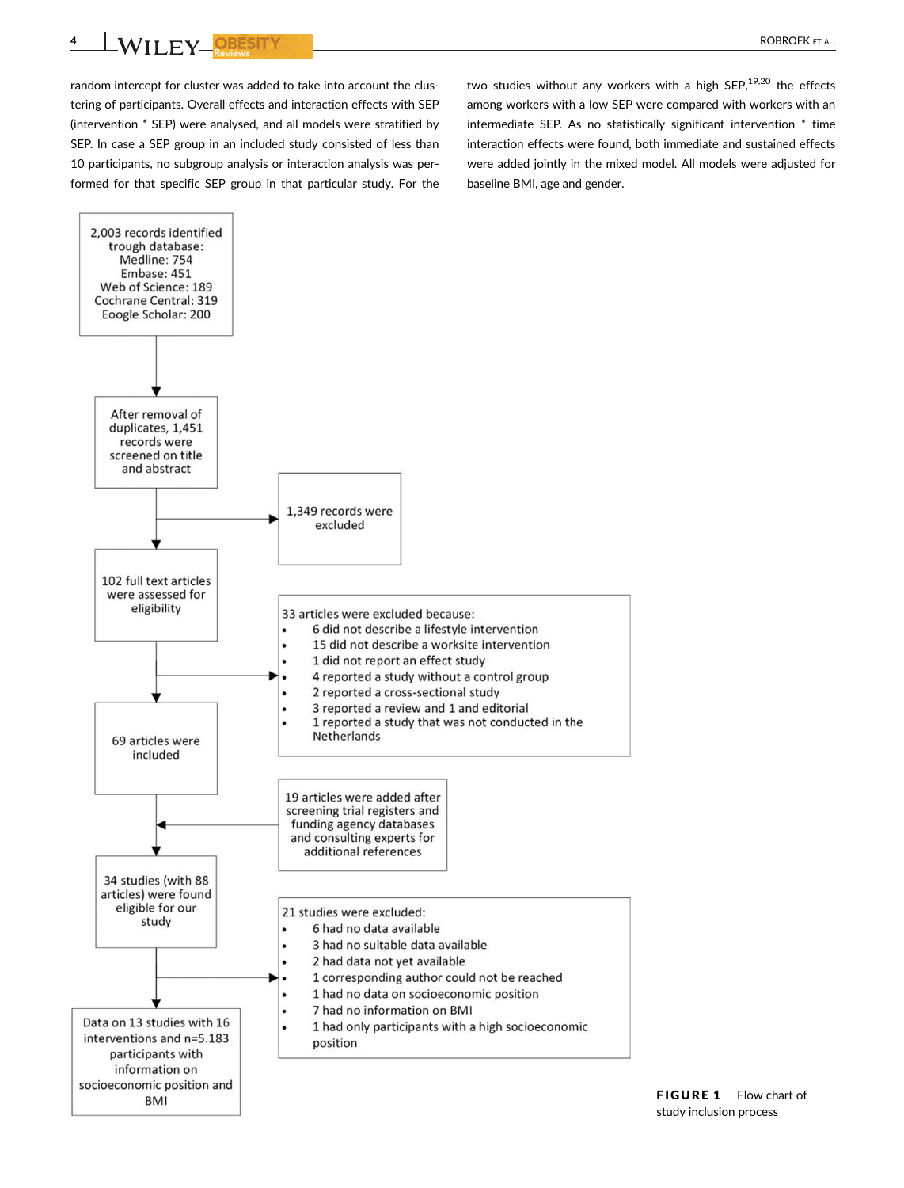**4** NILEY PESITY **Executive CONSTRUCT AL.** 

random intercept for cluster was added to take into account the clustering of participants. Overall effects and interaction effects with SEP (intervention \* SEP) were analysed, and all models were stratified by SEP. In case a SEP group in an included study consisted of less than 10 participants, no subgroup analysis or interaction analysis was performed for that specific SEP group in that particular study. For the two studies without any workers with a high SEP, $19,20$  the effects among workers with a low SEP were compared with workers with an intermediate SEP. As no statistically significant intervention \* time interaction effects were found, both immediate and sustained effects were added jointly in the mixed model. All models were adjusted for baseline BMI, age and gender.

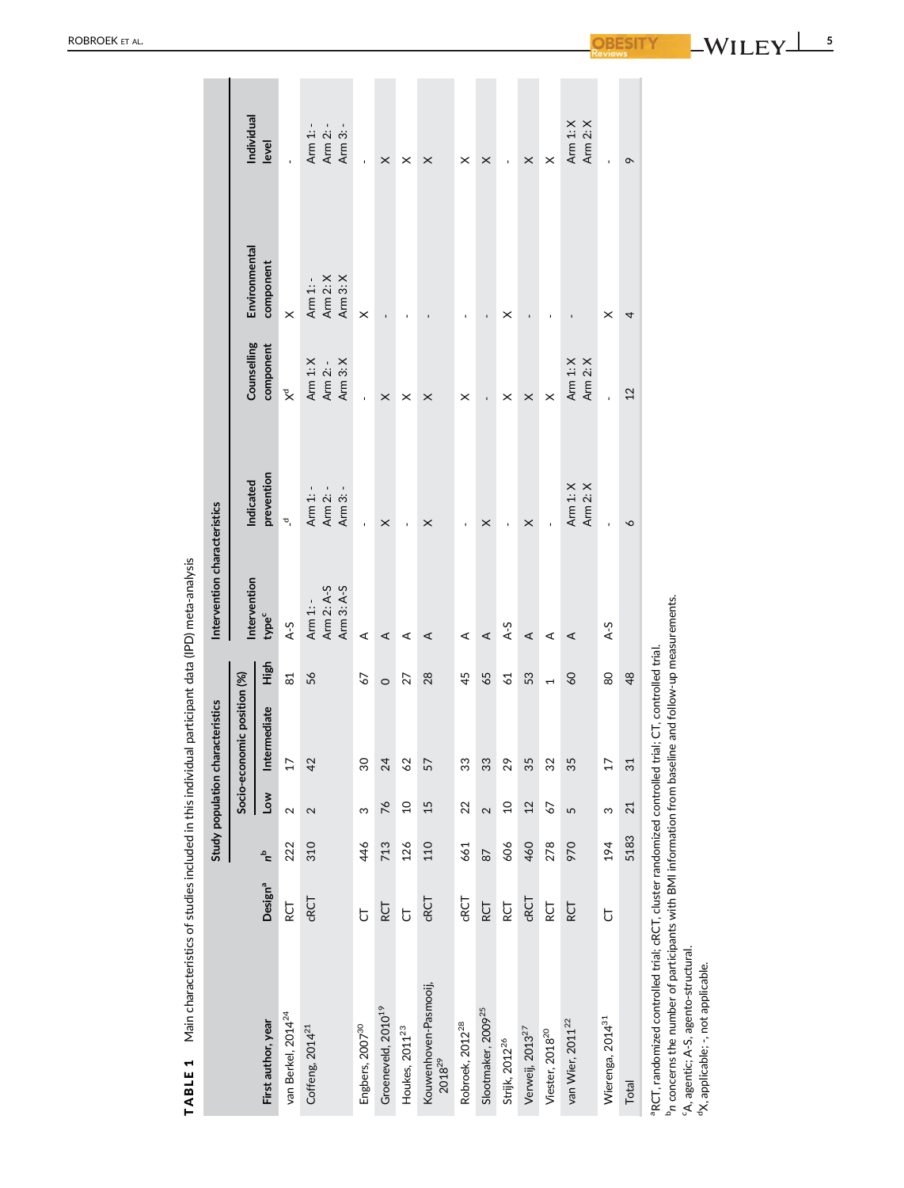|                                                                                                                                                                                                                                                                                                       |                     |       |                | Study population characteristics |                | Intervention characteristics         |                                  |                                  |                                  |                                  |
|-------------------------------------------------------------------------------------------------------------------------------------------------------------------------------------------------------------------------------------------------------------------------------------------------------|---------------------|-------|----------------|----------------------------------|----------------|--------------------------------------|----------------------------------|----------------------------------|----------------------------------|----------------------------------|
|                                                                                                                                                                                                                                                                                                       |                     |       |                | Socio-economic position (%)      |                | Intervention                         | ndicated                         | Counselling                      | Environmental                    | Individual                       |
| First author, year                                                                                                                                                                                                                                                                                    | Design <sup>a</sup> | $a^2$ | Low            | Intermediate                     | High           | type <sup>c</sup>                    | prevention                       | component                        | component                        | level                            |
| van Berkel, 2014 <sup>24</sup>                                                                                                                                                                                                                                                                        | RCT                 | 222   | 2              | $\overline{17}$                  | 81             | $A-5$                                | $\sigma$                         | $\mathbb{\tilde{X}}$             | $\times$                         |                                  |
| Coffeng, 2014 <sup>21</sup>                                                                                                                                                                                                                                                                           | CRCT                | 310   | 2              | 42                               | 56             | Arm 2: A-5<br>Arm 3: A-S<br>Arm 1: - | Arm 1: -<br>Arm 2: -<br>Arm 3: - | Arm 3: X<br>Arm 1: X<br>Arm 2: - | Arm 3: X<br>Arm 2: X<br>Arm 1: - | Arm 2: -<br>Arm 1: -<br>Arm 3: - |
| Engbers, 2007 <sup>30</sup>                                                                                                                                                                                                                                                                           | $\overline{C}$      | 46    | ω              | 30                               | 57             | ⋖                                    | ï                                |                                  | $\times$                         | ï                                |
| Groeneveld, 2010 <sup>19</sup>                                                                                                                                                                                                                                                                        | <b>RCT</b>          | 713   | 76             | 24                               | $\circ$        | ⋖                                    | $\times$                         | $\times$                         | ı,                               | $\times$                         |
| Houkes, 2011 <sup>23</sup>                                                                                                                                                                                                                                                                            | $\overline{5}$      | 126   | $\overline{c}$ | 62                               | 27             | ⋖                                    | ï                                | ×                                |                                  | ×                                |
| Kouwenhoven-Pasmooij,<br>2018 <sup>29</sup>                                                                                                                                                                                                                                                           | CRCT                | 110   | 15             | 57                               | 28             | ⋖                                    | ×                                | $\times$                         |                                  | $\times$                         |
| Robroek, 2012 <sup>28</sup>                                                                                                                                                                                                                                                                           | CRCT                | 661   | 22             | 33                               | 45             | ⋖                                    | J.                               | ×                                | $\overline{\phantom{a}}$         | ×                                |
| Slootmaker, 2009 <sup>25</sup>                                                                                                                                                                                                                                                                        | RCT                 | 87    | 2              | 33                               | 65             | ∢                                    | $\times$                         | ï                                | ı                                | $\times$                         |
| Strijk, 2012 <sup>26</sup>                                                                                                                                                                                                                                                                            | RCT                 | 606   | $\overline{0}$ | 29                               | $\overline{6}$ | $A-5$                                | f,                               | ×                                | ×                                | $\bar{\phantom{a}}$              |
| Verweij, 2013 <sup>27</sup>                                                                                                                                                                                                                                                                           | CRCT                | 460   | 12             | 35                               | 53             | ⋖                                    | ×                                | $\times$                         | $\overline{1}$                   | $\times$                         |
| Viester, 2018 <sup>20</sup>                                                                                                                                                                                                                                                                           | RCT                 | 278   | 67             | 32                               | $\overline{ }$ | ⋖                                    | ï                                | $\times$                         | $\mathbf{I}$                     | $\times$                         |
| van Wier, 2011 <sup>22</sup>                                                                                                                                                                                                                                                                          | RCT                 | 970   | 5              | 35                               | 60             | ⋖                                    | Arm 1: X<br>Arm 2: X             | Arm 1: X<br>Arm 2: X             |                                  | Arm 1: X<br>Arm 2: X             |
| Wierenga, 2014 <sup>31</sup>                                                                                                                                                                                                                                                                          | ჯ                   | 194   | S              | 17                               | 80             | $A-5$                                |                                  |                                  | ×                                |                                  |
| Total                                                                                                                                                                                                                                                                                                 |                     | 5183  | 21             | 31                               | 48             |                                      | $\sim$                           | 12                               | 4                                | $\sigma$                         |
| In concerns the number of participants with BMI information from baseline and follow-up measurements<br><sup>a</sup> RCT, randomized controlled trial; cRCT, cluster randomized controlled trial; CT, controlled trial.<br>'A, agentic; A-S, agento-structural.<br>dX, applicable; -, not applicable. |                     |       |                |                                  |                |                                      |                                  |                                  |                                  |                                  |

TABLE 1 Main characteristics of studies included in this individual participant data (IPD) meta-analysis TABLE 1 Main characteristics of studies included in this individual participant data (IPD) meta-analysis

ROBROEK ET AL .

 $-WILEY$ **5**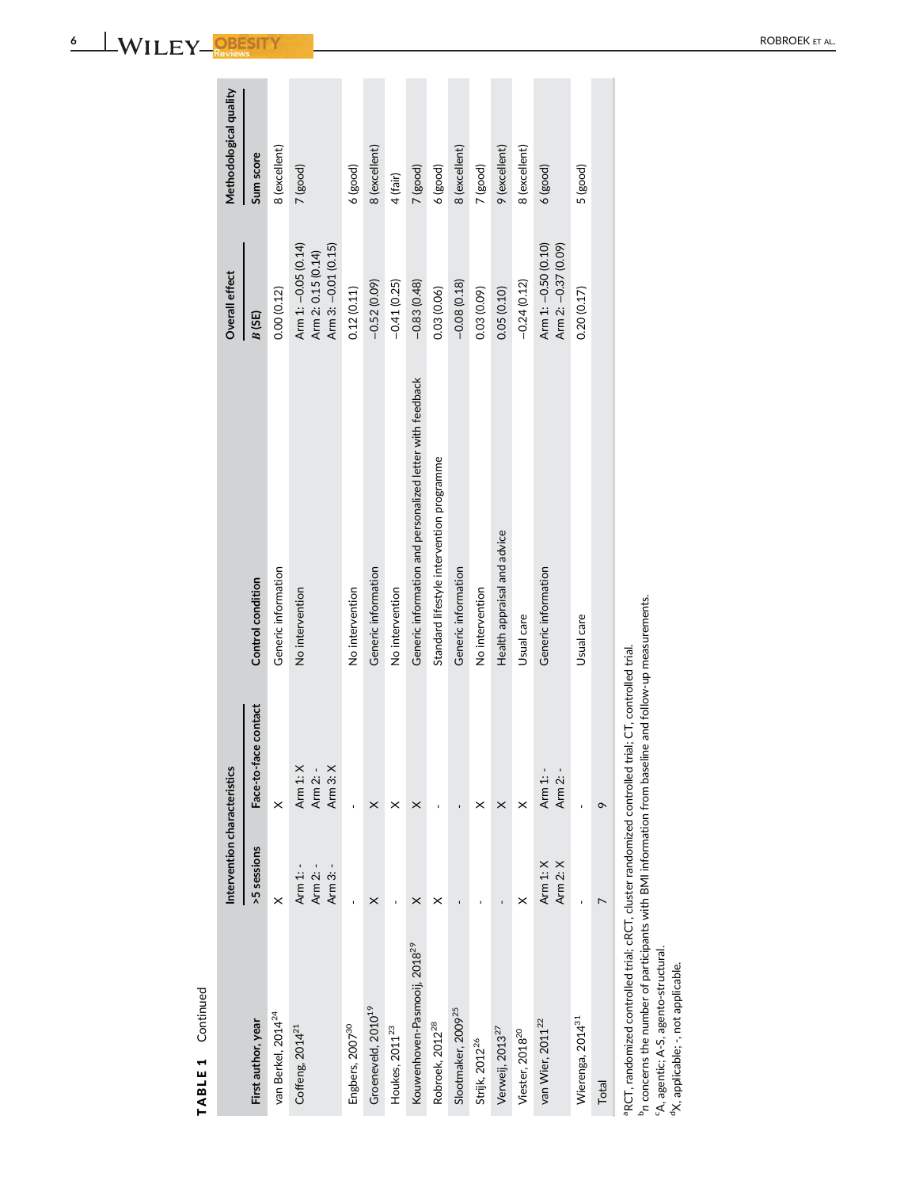| -- -<br>u<br>$\mathbf{r}$<br>-<br>. . |  |  | <b>DODDOEV</b><br>.RR′<br>- YF<br>ΑI |
|---------------------------------------|--|--|--------------------------------------|
|                                       |  |  |                                      |
|                                       |  |  |                                      |

TABLE 1 Continued

TABLE 1 Continued

|                                                                                                      | Intervention characteristics     |                                  |                                                           | Overall effect                                                   | Methodological quality |
|------------------------------------------------------------------------------------------------------|----------------------------------|----------------------------------|-----------------------------------------------------------|------------------------------------------------------------------|------------------------|
| First author, year                                                                                   | >5 sessions                      | Face-to-face contact             | Control condition                                         | B(SE)                                                            | Sum score              |
| van Berkel, 2014 <sup>24</sup>                                                                       | $\times$                         | ×                                | Generic information                                       | 0.00(0.12)                                                       | 8 (excellent)          |
| Coffeng, 2014 <sup>21</sup>                                                                          | Arm 1: -<br>Arm 2: -<br>Arm 3: - | Arm 1: X<br>Arm 3: X<br>Arm 2: - | No intervention                                           | Arm 1: -0.05 (0.14)<br>Arm 3: -0.01 (0.15)<br>Arm 2: 0.15 (0.14) | 7 (good)               |
| Engbers, 2007 <sup>30</sup>                                                                          |                                  |                                  | No intervention                                           | 0.12(0.11)                                                       | $6$ (good)             |
| Groeneveld, 2010 <sup>19</sup>                                                                       | $\times$                         | $\times$                         | Generic information                                       | $-0.52(0.09)$                                                    | 8 (excellent)          |
| Houkes, 2011 <sup>23</sup>                                                                           |                                  | ×                                | No intervention                                           | $-0.41(0.25)$                                                    | 4 (fair)               |
| Kouwenhoven-Pasmooij, 2018 <sup>29</sup>                                                             | $\times$                         | ×                                | Generic information and personalized letter with feedback | $-0.83(0.48)$                                                    | 7 (good)               |
| Robroek, 2012 <sup>28</sup>                                                                          | ×                                |                                  | Standard lifestyle intervention programme                 | 0.03(0.06)                                                       | $6$ (good)             |
| Slootmaker, 2009 <sup>25</sup>                                                                       |                                  |                                  | Generic information                                       | $-0.08(0.18)$                                                    | 8 (excellent)          |
| Strijk, 2012 <sup>26</sup>                                                                           |                                  | ×                                | No intervention                                           | 0.03 (0.09)                                                      | 7 (good)               |
| Verweij, 2013 <sup>27</sup>                                                                          |                                  | $\times$                         | Health appraisal and advice                               | 0.05(0.10)                                                       | 9 (excellent)          |
| Viester, 2018 <sup>20</sup>                                                                          | ×                                | $\times$                         | Usual care                                                | $-0.24(0.12)$                                                    | 8 (excellent)          |
| van Wier, 2011 <sup>22</sup>                                                                         | Arm 1: X<br>Arm 2: X             | Arm 1: -<br>Arm 2: -             | Generic information                                       | Arm 2: -0.37 (0.09)<br>Arm 1: -0.50 (0.10)                       | $6$ (good)             |
| Wierenga, 2014 <sup>31</sup>                                                                         |                                  |                                  | Usual care                                                | 0.20(0.17)                                                       | 5 (good)               |
| Total                                                                                                |                                  | $\sigma$                         |                                                           |                                                                  |                        |
| a RCT, randomized controlled trial; cRCT, cluster randomized controlled trial; CT, controlled trial. |                                  |                                  |                                                           |                                                                  |                        |

 $\mathcal{L}_{\mathcal{A}}$ 

<sup>b</sup>n concerns the number of participants with BMI information from baseline and follow-up measurements.<br><sup>6</sup>A, agentic; A-S, agento-structural.<br><sup>d</sup>X, applicable; -, not applicable. b*n* concerns the number of participants with BMI information from baseline and follow-up measurements.

cA, agentic; A-S, agento-structural.

dX, applicable; -, not applicable.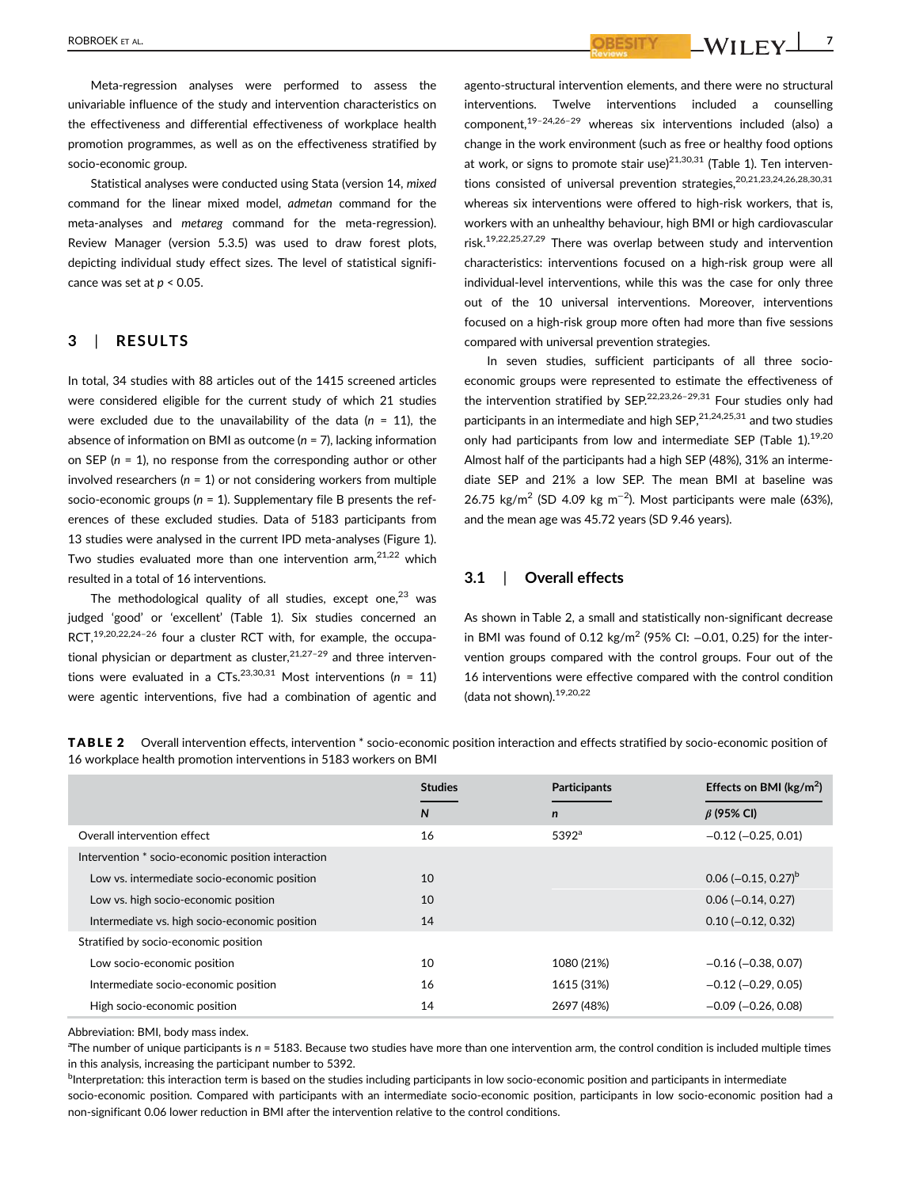ROBROEK ET AL. **7** NOBROEK ET AL. **7** NOBROEK ET AL. **7** NOBROEK ET AL. **7** NOBROEK ET AL. **7** NOBROEK ET AL. **7** NOBROEK ET AL.

Meta-regression analyses were performed to assess the univariable influence of the study and intervention characteristics on the effectiveness and differential effectiveness of workplace health promotion programmes, as well as on the effectiveness stratified by socio-economic group.

Statistical analyses were conducted using Stata (version 14, *mixed* command for the linear mixed model, *admetan* command for the meta-analyses and *metareg* command for the meta-regression). Review Manager (version 5.3.5) was used to draw forest plots, depicting individual study effect sizes. The level of statistical significance was set at *p* < 0.05.

# **3** | **RESULTS**

In total, 34 studies with 88 articles out of the 1415 screened articles were considered eligible for the current study of which 21 studies were excluded due to the unavailability of the data (*n* = 11), the absence of information on BMI as outcome (*n* = 7), lacking information on SEP (*n* = 1), no response from the corresponding author or other involved researchers (*n* = 1) or not considering workers from multiple socio-economic groups (*n* = 1). Supplementary file B presents the references of these excluded studies. Data of 5183 participants from 13 studies were analysed in the current IPD meta-analyses (Figure 1). Two studies evaluated more than one intervention  $arm^{21,22}$  which resulted in a total of 16 interventions.

The methodological quality of all studies, except one, $23$  was judged 'good' or 'excellent' (Table 1). Six studies concerned an RCT,<sup>19,20,22,24-26</sup> four a cluster RCT with, for example, the occupational physician or department as cluster.<sup>21,27-29</sup> and three interventions were evaluated in a  $CTs$ .<sup>23,30,31</sup> Most interventions ( $n = 11$ ) were agentic interventions, five had a combination of agentic and agento-structural intervention elements, and there were no structural interventions. Twelve interventions included a counselling component.<sup>19–24,26–29</sup> whereas six interventions included (also) a change in the work environment (such as free or healthy food options at work, or signs to promote stair use)<sup>21,30,31</sup> (Table 1). Ten interventions consisted of universal prevention strategies,<sup>20,21,23,24,26,28,30,31</sup> whereas six interventions were offered to high-risk workers, that is, workers with an unhealthy behaviour, high BMI or high cardiovascular risk.19,22,25,27,29 There was overlap between study and intervention characteristics: interventions focused on a high-risk group were all individual-level interventions, while this was the case for only three out of the 10 universal interventions. Moreover, interventions focused on a high-risk group more often had more than five sessions compared with universal prevention strategies.

In seven studies, sufficient participants of all three socioeconomic groups were represented to estimate the effectiveness of the intervention stratified by SEP.<sup>22,23,26-29,31</sup> Four studies only had participants in an intermediate and high  $\text{SEP},^{21,24,25,31}$  and two studies only had participants from low and intermediate SEP (Table 1).<sup>19,20</sup> Almost half of the participants had a high SEP (48%), 31% an intermediate SEP and 21% a low SEP. The mean BMI at baseline was 26.75 kg/m<sup>2</sup> (SD 4.09 kg m<sup>-2</sup>). Most participants were male (63%), and the mean age was 45.72 years (SD 9.46 years).

# **3.1** | **Overall effects**

As shown in Table 2, a small and statistically non-significant decrease in BMI was found of 0.12 kg/m<sup>2</sup> (95% CI:  $-0.01$ , 0.25) for the intervention groups compared with the control groups. Four out of the 16 interventions were effective compared with the control condition (data not shown).19,20,22

|                                                    | <b>Studies</b> | <b>Participants</b> | Effects on BMI ( $\text{kg/m}^2$ ) |
|----------------------------------------------------|----------------|---------------------|------------------------------------|
|                                                    | N              | $\mathbf n$         | $\beta$ (95% CI)                   |
| Overall intervention effect                        | 16             | $5392^{\circ}$      | $-0.12$ ( $-0.25, 0.01$ )          |
| Intervention * socio-economic position interaction |                |                     |                                    |
| Low vs. intermediate socio-economic position       | 10             |                     | $0.06$ (-0.15, 0.27) <sup>b</sup>  |
| Low vs. high socio-economic position               | 10             |                     | $0.06 (-0.14, 0.27)$               |
| Intermediate vs. high socio-economic position      | 14             |                     | $0.10 (-0.12, 0.32)$               |
| Stratified by socio-economic position              |                |                     |                                    |
| Low socio-economic position                        | 10             | 1080 (21%)          | $-0.16$ ( $-0.38$ , 0.07)          |
| Intermediate socio-economic position               | 16             | 1615 (31%)          | $-0.12$ ( $-0.29$ , 0.05)          |
| High socio-economic position                       | 14             | 2697 (48%)          | $-0.09$ ( $-0.26$ , 0.08)          |

TABLE 2 Overall intervention effects, intervention \* socio-economic position interaction and effects stratified by socio-economic position of 16 workplace health promotion interventions in 5183 workers on BMI

Abbreviation: BMI, body mass index.

a The number of unique participants is *n* = 5183. Because two studies have more than one intervention arm, the control condition is included multiple times in this analysis, increasing the participant number to 5392.

<sup>b</sup>Interpretation: this interaction term is based on the studies including participants in low socio-economic position and participants in intermediate socio-economic position. Compared with participants with an intermediate socio-economic position, participants in low socio-economic position had a non-significant 0.06 lower reduction in BMI after the intervention relative to the control conditions.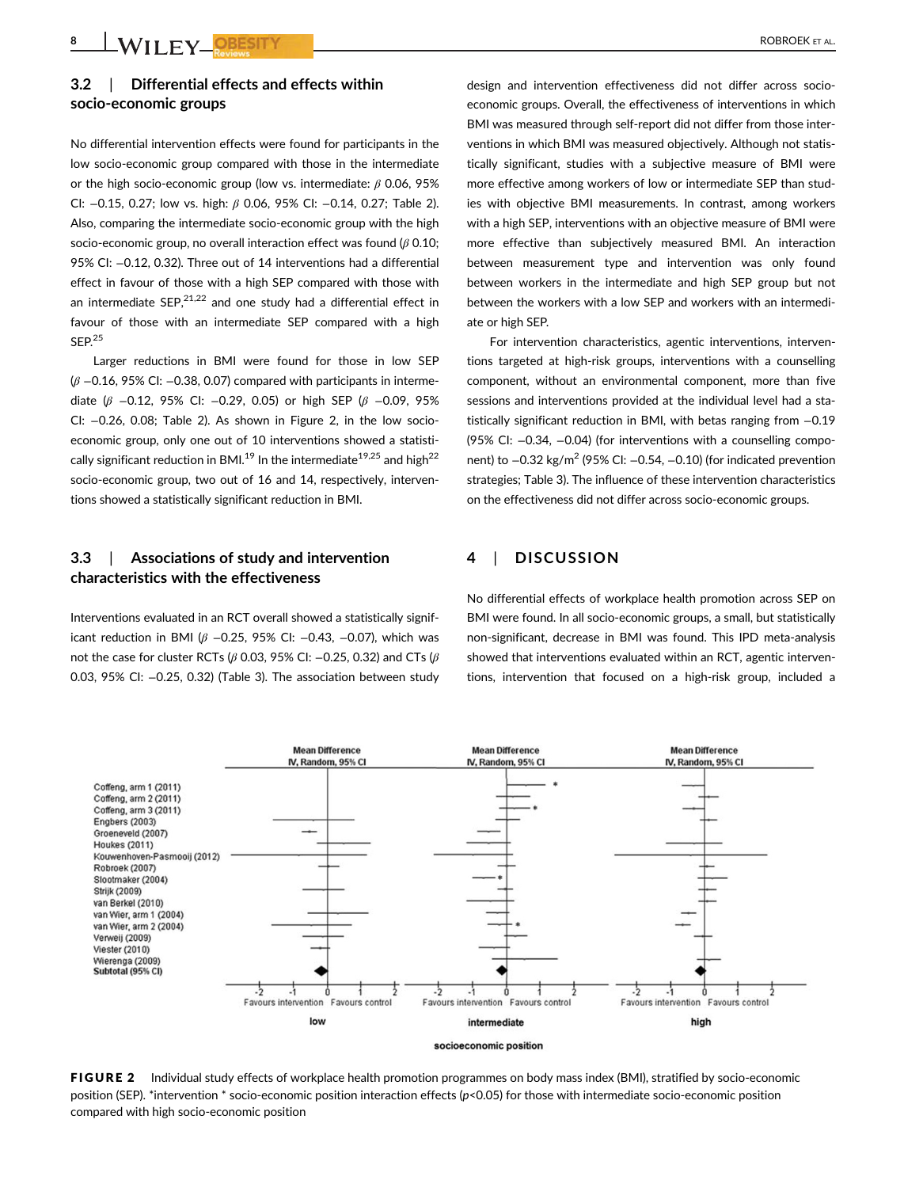# **3.2** | **Differential effects and effects within socio-economic groups**

No differential intervention effects were found for participants in the low socio-economic group compared with those in the intermediate or the high socio-economic group (low vs. intermediate: *β* 0.06, 95% CI: −0.15, 0.27; low vs. high: *β* 0.06, 95% CI: −0.14, 0.27; Table 2). Also, comparing the intermediate socio-economic group with the high socio-economic group, no overall interaction effect was found (*β* 0.10; 95% CI: −0.12, 0.32). Three out of 14 interventions had a differential effect in favour of those with a high SEP compared with those with an intermediate SEP. $21,22$  and one study had a differential effect in favour of those with an intermediate SEP compared with a high SEP.<sup>25</sup>

Larger reductions in BMI were found for those in low SEP (*β* −0.16, 95% CI: −0.38, 0.07) compared with participants in intermediate (*β* −0.12, 95% CI: −0.29, 0.05) or high SEP (*β* −0.09, 95% CI: −0.26, 0.08; Table 2). As shown in Figure 2, in the low socioeconomic group, only one out of 10 interventions showed a statistically significant reduction in BML<sup>19</sup> In the intermediate<sup>19,25</sup> and high<sup>22</sup> socio-economic group, two out of 16 and 14, respectively, interventions showed a statistically significant reduction in BMI.

# **3.3** | **Associations of study and intervention characteristics with the effectiveness**

Interventions evaluated in an RCT overall showed a statistically significant reduction in BMI (*β* −0.25, 95% CI: −0.43, −0.07), which was not the case for cluster RCTs (*β* 0.03, 95% CI: −0.25, 0.32) and CTs (*β* 0.03, 95% CI: −0.25, 0.32) (Table 3). The association between study design and intervention effectiveness did not differ across socioeconomic groups. Overall, the effectiveness of interventions in which BMI was measured through self-report did not differ from those interventions in which BMI was measured objectively. Although not statistically significant, studies with a subjective measure of BMI were more effective among workers of low or intermediate SEP than studies with objective BMI measurements. In contrast, among workers with a high SEP, interventions with an objective measure of BMI were more effective than subjectively measured BMI. An interaction between measurement type and intervention was only found between workers in the intermediate and high SEP group but not between the workers with a low SEP and workers with an intermediate or high SEP.

For intervention characteristics, agentic interventions, interventions targeted at high-risk groups, interventions with a counselling component, without an environmental component, more than five sessions and interventions provided at the individual level had a statistically significant reduction in BMI, with betas ranging from −0.19 (95% CI: −0.34, −0.04) (for interventions with a counselling component) to –0.32 kg/m<sup>2</sup> (95% CI: –0.54, –0.10) (for indicated prevention strategies; Table 3). The influence of these intervention characteristics on the effectiveness did not differ across socio-economic groups.

# **4** | **DISCUSSION**

No differential effects of workplace health promotion across SEP on BMI were found. In all socio-economic groups, a small, but statistically non-significant, decrease in BMI was found. This IPD meta-analysis showed that interventions evaluated within an RCT, agentic interventions, intervention that focused on a high-risk group, included a



FIGURE 2 Individual study effects of workplace health promotion programmes on body mass index (BMI), stratified by socio-economic position (SEP). \*intervention \* socio-economic position interaction effects (*p*<0.05) for those with intermediate socio-economic position compared with high socio-economic position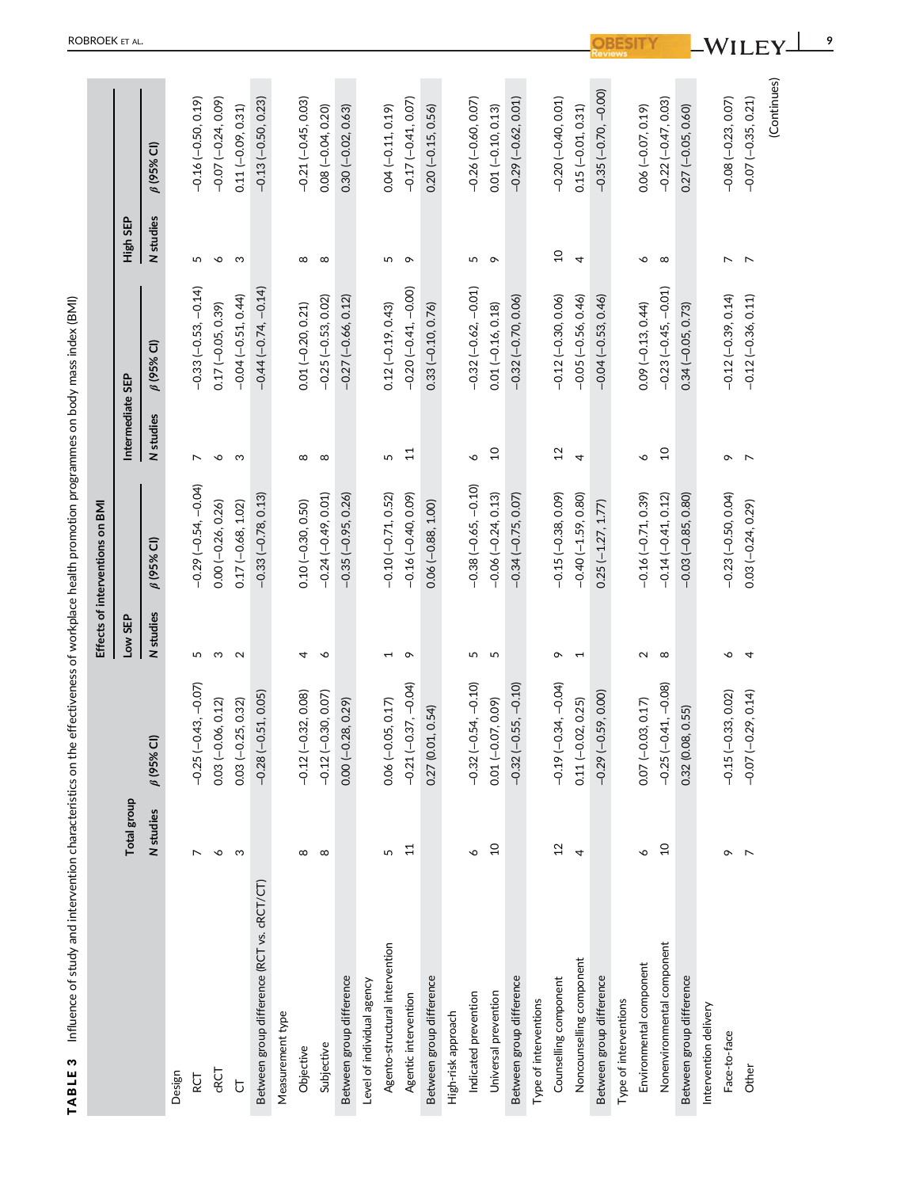|                                            |                 |                             |                          | Effects of interventions on BMI |                  |                          |                          |                             |
|--------------------------------------------|-----------------|-----------------------------|--------------------------|---------------------------------|------------------|--------------------------|--------------------------|-----------------------------|
|                                            | Total group     |                             | Low SEP                  |                                 | Intermediate SEP |                          | High SEP                 |                             |
|                                            | N studies       | ß (95% CI)                  | N studies                | $\beta$ (95% CI)                | N studies        | $\beta$ (95% CI)         | N studies                | $\beta$ (95% CI)            |
| Design                                     |                 |                             |                          |                                 |                  |                          |                          |                             |
| RCT                                        |                 | $-0.25(-0.43,-0.07)$        | 5                        | $-0.29(-0.54, -0.04)$           | $\overline{ }$   | $-0.33(-0.53, -0.14)$    | 5                        | $-0.16(-0.50, 0.19)$        |
| CRCT                                       | ∾               | 0.03 (-0.06, 0.12)          | S                        | $0.00 (-0.26, 0.26)$            | ∾                | 0.17 (-0.05, 0.39)       | $\circ$                  | $-0.07$ $(-0.24, 0.09)$     |
| Ⴆ                                          | S               | $0.03 (-0.25, 0.32)$        | 2                        | $0.17$ ( $-0.68$ , 1.02)        | S                | $-0.04(-0.51, 0.44)$     | S                        | $0.11 (-0.09, 0.31)$        |
| Between group difference (RCT vs. cRCT/CT) |                 | $-0.28(-0.51, 0.05)$        |                          | $-0.33(-0.78, 0.13)$            |                  | $-0.44(-0.74, -0.14)$    |                          | $-0.13(-0.50, 0.23)$        |
| Measurement type                           |                 |                             |                          |                                 |                  |                          |                          |                             |
| Objective                                  | $^{\circ}$      | $-0.12(-0.32, 0.08)$        | 4                        | $0.10 (-0.30, 0.50)$            | $^{\circ}$       | $0.01 (-0.20, 0.21)$     | $\infty$                 | $-0.21(-0.45, 0.03)$        |
| Subjective                                 | $^\infty$       | $-0.12(-0.30, 0.07)$        | ♦                        | $-0.24(-0.49, 0.01)$            | $\infty$         | $-0.25(-0.53, 0.02)$     | $\infty$                 | $0.08(-0.04, 0.20)$         |
| Between group difference                   |                 | $0.00 (-0.28, 0.29)$        |                          | $-0.35(-0.95, 0.26)$            |                  | $-0.27$ $(-0.66, 0.12)$  |                          | $0.30 (-0.02, 0.63)$        |
| Level of individual agency                 |                 |                             |                          |                                 |                  |                          |                          |                             |
| Agento-structural intervention             | 5               | $0.06 (-0.05, 0.17)$        | 1                        | $-0.10$ $(-0.71, 0.52)$         | 5                | $0.12$ ( $-0.19$ , 0.43) | 5                        | $0.04 (-0.11, 0.19)$        |
| Agentic intervention                       | 11              | $-0.21(-0.37, -0.04)$       | ç                        | $-0.16(-0.40, 0.09)$            | $\overline{11}$  | $-0.20(-0.41,-0.00)$     | $\circ$                  | $-0.17(-0.41, 0.07)$        |
| Between group difference                   |                 | 0.27 (0.01, 0.54)           |                          | $0.06 (-0.88, 1.00)$            |                  | $0.33(-0.10, 0.76)$      |                          | $0.20 (-0.15, 0.56)$        |
| High-risk approach                         |                 |                             |                          |                                 |                  |                          |                          |                             |
| Indicated prevention                       | P               | $-0.32(-0.54, -0.10)$       | 5                        | $-0.38(-0.65, -0.10)$           | ∘                | $-0.32(-0.62, -0.01)$    | 5                        | $-0.26(-0.60, 0.07)$        |
| Universal prevention                       | $\overline{10}$ | 0.01 (-0.07, 0.09)          | S                        | $-0.06(-0.24, 0.13)$            | $\overline{a}$   | $0.01 (-0.16, 0.18)$     | $\circ$                  | $0.01 (-0.10, 0.13)$        |
| Between group difference                   |                 | $-0.32(-0.55, -0.10)$       |                          | $-0.34(-0.75, 0.07)$            |                  | $-0.32(-0.70, 0.06)$     |                          | $-0.29$ $(-0.62, 0.01)$     |
| Type of interventions                      |                 |                             |                          |                                 |                  |                          |                          |                             |
| Counselling component                      | 12              | $-0.19(-0.34, -0.04)$       | ç                        | $-0.15(-0.38, 0.09)$            | 12               | $-0.12(-0.30, 0.06)$     | $\overline{10}$          | $-0.20(-0.40, 0.01)$        |
| Noncounselling component                   | 4               | $0.11 (-0.02, 0.25)$        | $\overline{\phantom{0}}$ | $-0.40(-1.59, 0.80)$            | 4                | $-0.05(-0.56, 0.46)$     | 4                        | $0.15(-0.01, 0.31)$         |
| Between group difference                   |                 | $-0.29(-0.59, 0.00)$        |                          | $0.25(-1.27, 1.77)$             |                  | $-0.04(-0.53, 0.46)$     |                          | $-0.35(-0.70, -0.00)$       |
| Type of interventions                      |                 |                             |                          |                                 |                  |                          |                          |                             |
| Environmental component                    | ∘               | $0.07$ ( $-0.03$ , $0.17$ ) | N                        | $-0.16(-0.71, 0.39)$            | P                | $0.09 (-0.13, 0.44)$     | ∘                        | $0.06(-0.07, 0.19)$         |
| Nonenvironmental component                 | $\overline{10}$ | $-0.25(-0.41, -0.08)$       | $^\infty$                | $-0.14(-0.41, 0.12)$            | $\overline{c}$   | $-0.23(-0.45, -0.01)$    | $\infty$                 | $-0.22(-0.47, 0.03)$        |
| Between group difference                   |                 | 0.32 (0.08, 0.55)           |                          | $-0.03(-0.85, 0.80)$            |                  | $0.34 (-0.05, 0.73)$     |                          | $0.27$ ( $-0.05$ , $0.60$ ) |
| Intervention delivery                      |                 |                             |                          |                                 |                  |                          |                          |                             |
| Face-to-face                               | ç               | $-0.15(-0.33, 0.02)$        | ∾                        | $-0.23(-0.50, 0.04)$            | ç                | $-0.12(-0.39, 0.14)$     | $\overline{\phantom{0}}$ | $-0.08(-0.23, 0.07)$        |
| Other                                      | $\overline{ }$  | $(-0.29, 0.14)$<br>$-0.07$  | 4                        | $0.03 (-0.24, 0.29)$            | $\overline{ }$   | $-0.12(-0.36, 0.11)$     | $\overline{ }$           | $-0.07(-0.35, 0.21)$        |
|                                            |                 |                             |                          |                                 |                  |                          |                          | (Continues)                 |

TABLE 3 Influence of study and intervention characteristics on the effectiveness of workplace health promotion programmes on body mass index (BMI) TABLE 3 Influence of study and intervention characteristics on the effectiveness of workplace health promotion programmes on body mass index (BMI)

OBESITY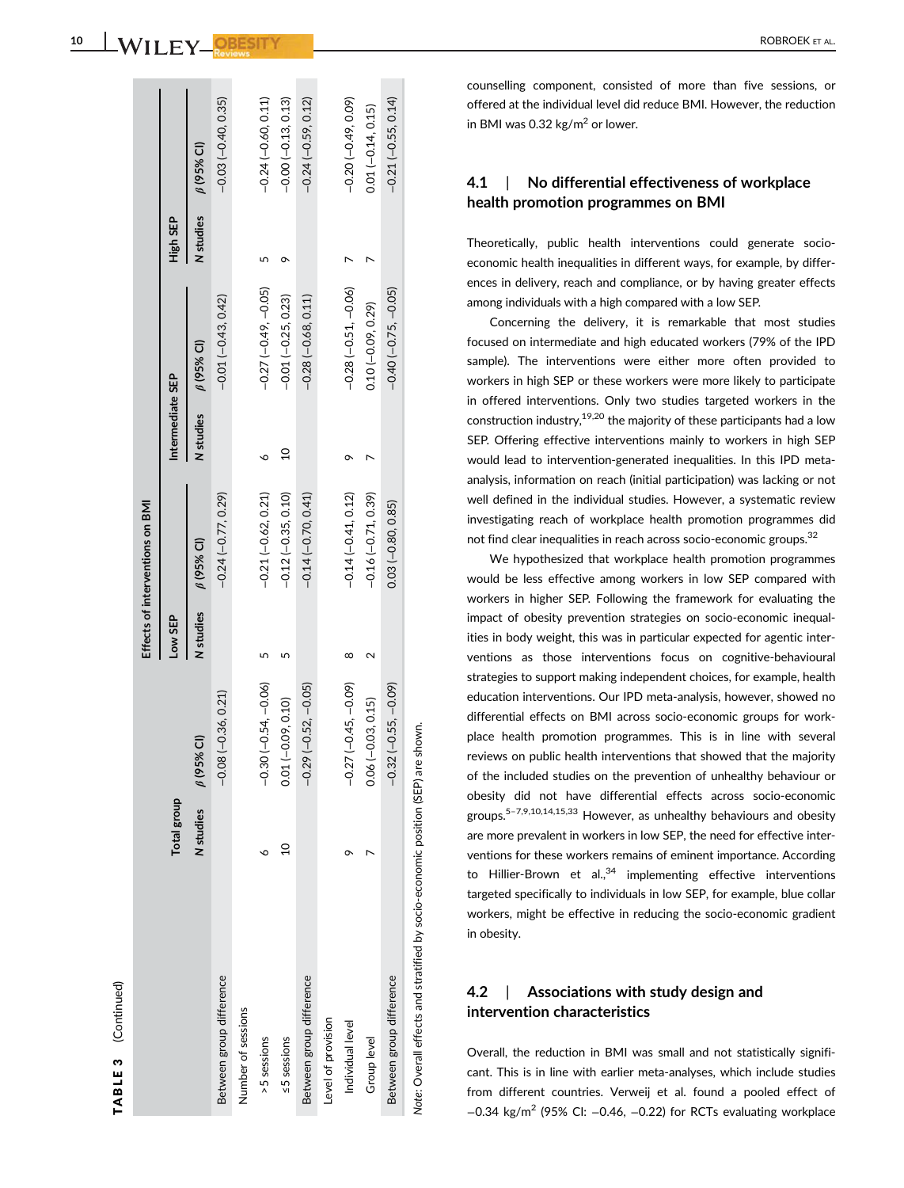| ¢<br>נ |  |
|--------|--|
|        |  |
|        |  |
|        |  |
| ц<br>٠ |  |
|        |  |
|        |  |
|        |  |
| Ξ      |  |
|        |  |
|        |  |
|        |  |
|        |  |
|        |  |
|        |  |
|        |  |
|        |  |

 $\Rightarrow$ 

|                                                                                  |                    |                             |           | Effects of interventions on BMI |                  |                       |           |                      |
|----------------------------------------------------------------------------------|--------------------|-----------------------------|-----------|---------------------------------|------------------|-----------------------|-----------|----------------------|
|                                                                                  | <b>Total group</b> |                             | Low SEP   |                                 | Intermediate SEP |                       | High SEP  |                      |
|                                                                                  | <b>N</b> studies   | ົບ<br>6(95%                 | N studies | $\beta$ (95% CI)                | N studies        | $\beta$ (95% CI)      | N studies | $\beta$ (95% CI)     |
| Between group difference                                                         |                    | $(-0.36, 0.21)$<br>$-0.08$  |           | $-0.24(-0.77, 0.29)$            |                  | $-0.01(-0.43, 0.42)$  |           | $-0.03(-0.40, 0.35)$ |
| Number of sessions                                                               |                    |                             |           |                                 |                  |                       |           |                      |
| >5 sessions                                                                      |                    | $-0.30(-0.54, -0.06)$       |           | $-0.21(-0.62, 0.21)$            |                  | $-0.27(-0.49,-0.05)$  |           | $-0.24(-0.60, 0.11)$ |
| ≤5 sessions                                                                      | $\overline{a}$     | $0.01 (-0.09, 0.10)$        |           | $-0.12(-0.35, 0.10)$            | ă                | $-0.01(-0.25, 0.23)$  |           | $-0.00(-0.13, 0.13)$ |
| Between group difference                                                         |                    | $(-0.52, -0.05)$<br>$-0.29$ |           | $-0.14(-0.70, 0.41)$            |                  | $-0.28(-0.68, 0.11)$  |           | $-0.24(-0.59, 0.12)$ |
| Level of provision                                                               |                    |                             |           |                                 |                  |                       |           |                      |
| Individual level                                                                 |                    | $(-0.45, -0.09)$<br>$-0.27$ | ∞         | $-0.14(-0.41, 0.12)$            |                  | $-0.28(-0.51, -0.06)$ |           | $-0.20(-0.49, 0.09)$ |
| Group level                                                                      |                    | $0.06(-0.03, 0.15)$         |           | $-0.16(-0.71, 0.39)$            |                  | $0.10(-0.09, 0.29)$   |           | $0.01 (-0.14, 0.15)$ |
| Between group difference                                                         |                    | $(-0.55, -0.09)$<br>$-0.32$ |           | $0.03(-0.80, 0.85)$             |                  | $-0.40(-0.75, -0.05)$ |           | $-0.21(-0.55, 0.14)$ |
| Note: Overall effects and stratified by socio-economic position (SEP) are shown. |                    |                             |           |                                 |                  |                       |           |                      |

counselling component, consisted of more than five sessions, or offered at the individual level did reduce BMI. However, the reduction

#### **4.1** | **No differential effectiveness of workplace health promotion programmes on BMI**

in BMI was 0.32 kg/m<sup>2</sup> or lower.

Theoretically, public health interventions could generate socioeconomic health inequalities in different ways, for example, by differences in delivery, reach and compliance, or by having greater effects among individuals with a high compared with a low SEP.

Concerning the delivery, it is remarkable that most studies focused on intermediate and high educated workers (79% of the IPD sample). The interventions were either more often provided to workers in high SEP or these workers were more likely to participate in offered interventions. Only two studies targeted workers in the construction industry, $19,20$  the majority of these participants had a low SEP. Offering effective interventions mainly to workers in high SEP would lead to intervention-generated inequalities. In this IPD metaanalysis, information on reach (initial participation) was lacking or not well defined in the individual studies. However, a systematic review investigating reach of workplace health promotion programmes did not find clear inequalities in reach across socio-economic groups.<sup>32</sup>

We hypothesized that workplace health promotion programmes would be less effective among workers in low SEP compared with workers in higher SEP. Following the framework for evaluating the impact of obesity prevention strategies on socio-economic inequalities in body weight, this was in particular expected for agentic interventions as those interventions focus on cognitive-behavioural strategies to support making independent choices, for example, health education interventions. Our IPD meta-analysis, however, showed no differential effects on BMI across socio-economic groups for workplace health promotion programmes. This is in line with several reviews on public health interventions that showed that the majority of the included studies on the prevention of unhealthy behaviour or obesity did not have differential effects across socio-economic groups.<sup>5-7,9,10,14,15,33</sup> However, as unhealthy behaviours and obesity are more prevalent in workers in low SEP, the need for effective interventions for these workers remains of eminent importance. According to Hillier-Brown et al., $34$  implementing effective interventions targeted specifically to individuals in low SEP, for example, blue collar workers, might be effective in reducing the socio-economic gradient in obesity.

#### **4.2** | **Associations with study design and intervention characteristics**

Overall, the reduction in BMI was small and not statistically significant. This is in line with earlier meta-analyses, which include studies from different countries. Verweij et al. found a pooled effect of −0.34 kg/m<sup>2</sup> (95% CI: -0.46, -0.22) for RCTs evaluating workplace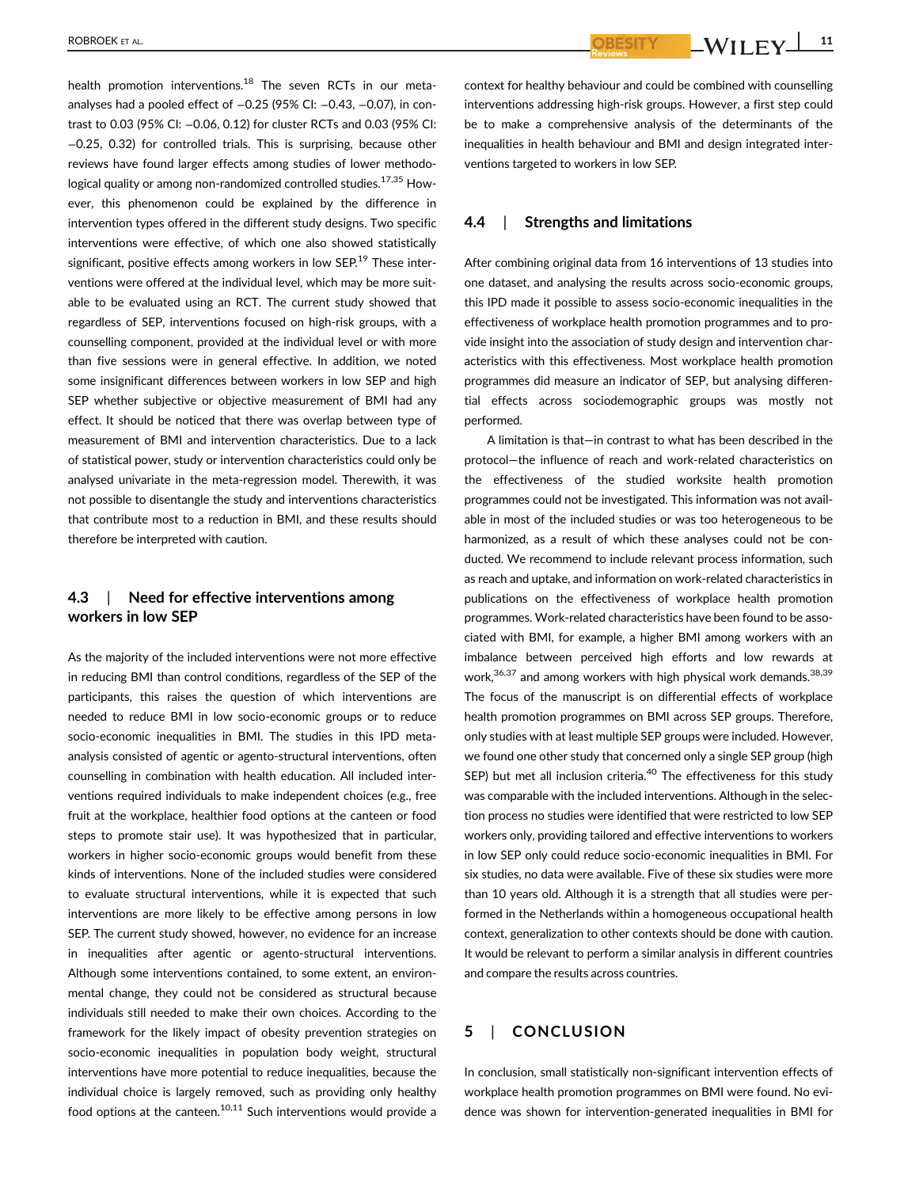health promotion interventions.<sup>18</sup> The seven RCTs in our metaanalyses had a pooled effect of -0.25 (95% CI: -0.43, -0.07), in contrast to 0.03 (95% CI: −0.06, 0.12) for cluster RCTs and 0.03 (95% CI: −0.25, 0.32) for controlled trials. This is surprising, because other reviews have found larger effects among studies of lower methodological quality or among non-randomized controlled studies.<sup>17,35</sup> However, this phenomenon could be explained by the difference in intervention types offered in the different study designs. Two specific interventions were effective, of which one also showed statistically significant, positive effects among workers in low SEP. $19$  These interventions were offered at the individual level, which may be more suitable to be evaluated using an RCT. The current study showed that regardless of SEP, interventions focused on high-risk groups, with a counselling component, provided at the individual level or with more than five sessions were in general effective. In addition, we noted some insignificant differences between workers in low SEP and high SEP whether subjective or objective measurement of BMI had any effect. It should be noticed that there was overlap between type of measurement of BMI and intervention characteristics. Due to a lack of statistical power, study or intervention characteristics could only be analysed univariate in the meta-regression model. Therewith, it was not possible to disentangle the study and interventions characteristics that contribute most to a reduction in BMI, and these results should therefore be interpreted with caution.

# **4.3** | **Need for effective interventions among workers in low SEP**

As the majority of the included interventions were not more effective in reducing BMI than control conditions, regardless of the SEP of the participants, this raises the question of which interventions are needed to reduce BMI in low socio-economic groups or to reduce socio-economic inequalities in BMI. The studies in this IPD metaanalysis consisted of agentic or agento-structural interventions, often counselling in combination with health education. All included interventions required individuals to make independent choices (e.g., free fruit at the workplace, healthier food options at the canteen or food steps to promote stair use). It was hypothesized that in particular, workers in higher socio-economic groups would benefit from these kinds of interventions. None of the included studies were considered to evaluate structural interventions, while it is expected that such interventions are more likely to be effective among persons in low SEP. The current study showed, however, no evidence for an increase in inequalities after agentic or agento-structural interventions. Although some interventions contained, to some extent, an environmental change, they could not be considered as structural because individuals still needed to make their own choices. According to the framework for the likely impact of obesity prevention strategies on socio-economic inequalities in population body weight, structural interventions have more potential to reduce inequalities, because the individual choice is largely removed, such as providing only healthy food options at the canteen.<sup>10,11</sup> Such interventions would provide a context for healthy behaviour and could be combined with counselling interventions addressing high-risk groups. However, a first step could be to make a comprehensive analysis of the determinants of the inequalities in health behaviour and BMI and design integrated interventions targeted to workers in low SEP.

# **4.4** | **Strengths and limitations**

After combining original data from 16 interventions of 13 studies into one dataset, and analysing the results across socio-economic groups, this IPD made it possible to assess socio-economic inequalities in the effectiveness of workplace health promotion programmes and to provide insight into the association of study design and intervention characteristics with this effectiveness. Most workplace health promotion programmes did measure an indicator of SEP, but analysing differential effects across sociodemographic groups was mostly not performed.

A limitation is that—in contrast to what has been described in the protocol—the influence of reach and work-related characteristics on the effectiveness of the studied worksite health promotion programmes could not be investigated. This information was not available in most of the included studies or was too heterogeneous to be harmonized, as a result of which these analyses could not be conducted. We recommend to include relevant process information, such as reach and uptake, and information on work-related characteristics in publications on the effectiveness of workplace health promotion programmes. Work-related characteristics have been found to be associated with BMI, for example, a higher BMI among workers with an imbalance between perceived high efforts and low rewards at work,<sup>36,37</sup> and among workers with high physical work demands.<sup>38,39</sup> The focus of the manuscript is on differential effects of workplace health promotion programmes on BMI across SEP groups. Therefore, only studies with at least multiple SEP groups were included. However, we found one other study that concerned only a single SEP group (high SEP) but met all inclusion criteria. $40$  The effectiveness for this study was comparable with the included interventions. Although in the selection process no studies were identified that were restricted to low SEP workers only, providing tailored and effective interventions to workers in low SEP only could reduce socio-economic inequalities in BMI. For six studies, no data were available. Five of these six studies were more than 10 years old. Although it is a strength that all studies were performed in the Netherlands within a homogeneous occupational health context, generalization to other contexts should be done with caution. It would be relevant to perform a similar analysis in different countries and compare the results across countries.

# **5** | **CONCLUSION**

In conclusion, small statistically non-significant intervention effects of workplace health promotion programmes on BMI were found. No evidence was shown for intervention-generated inequalities in BMI for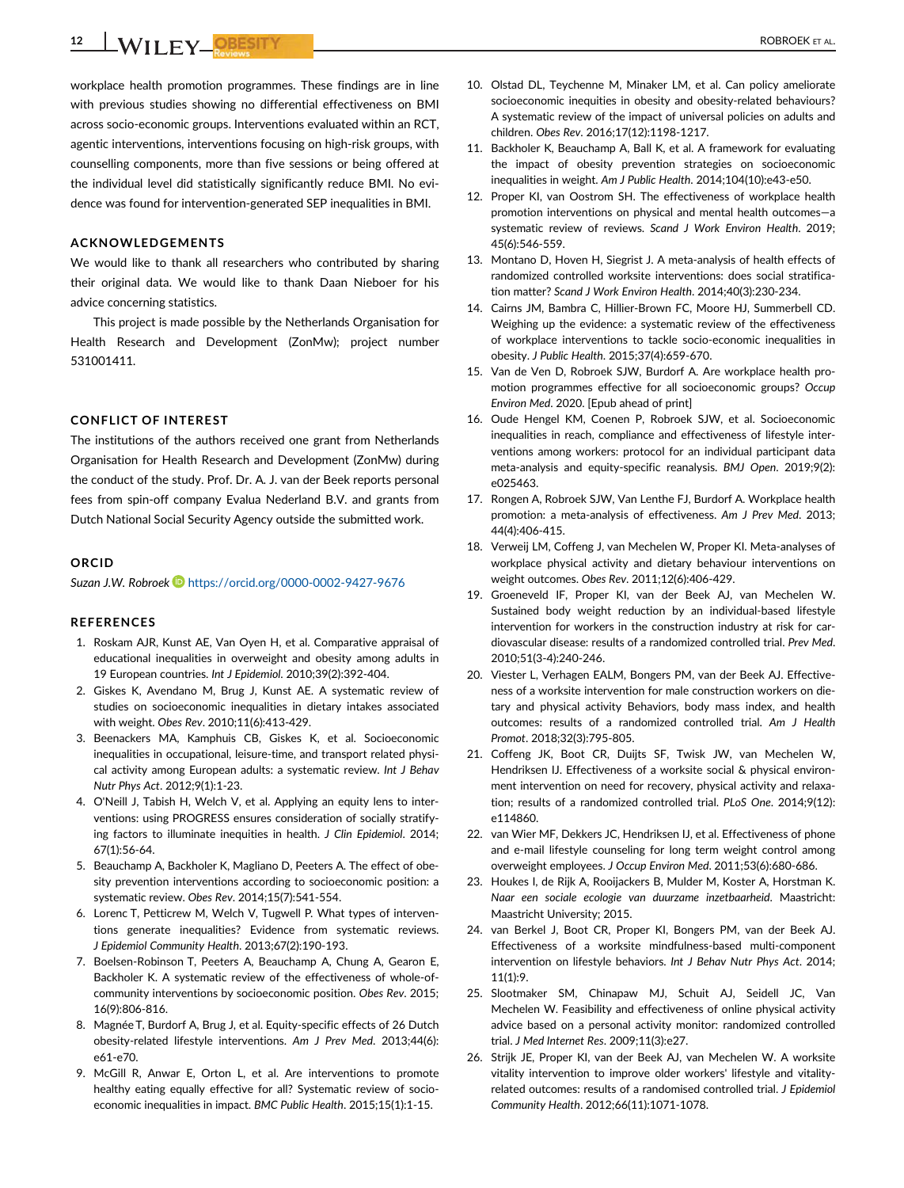**12 WILEY OBESITY Letter AL.** ROBROEK ET AL.

workplace health promotion programmes. These findings are in line with previous studies showing no differential effectiveness on BMI across socio-economic groups. Interventions evaluated within an RCT, agentic interventions, interventions focusing on high-risk groups, with counselling components, more than five sessions or being offered at the individual level did statistically significantly reduce BMI. No evidence was found for intervention-generated SEP inequalities in BMI.

## **ACKNOWLEDGEMENTS**

We would like to thank all researchers who contributed by sharing their original data. We would like to thank Daan Nieboer for his advice concerning statistics.

This project is made possible by the Netherlands Organisation for Health Research and Development (ZonMw); project number 531001411.

### **CONFLICT OF INTEREST**

The institutions of the authors received one grant from Netherlands Organisation for Health Research and Development (ZonMw) during the conduct of the study. Prof. Dr. A. J. van der Beek reports personal fees from spin-off company Evalua Nederland B.V. and grants from Dutch National Social Security Agency outside the submitted work.

### **ORCID**

*Suzan J.W. Robroek* <https://orcid.org/0000-0002-9427-9676>

#### **REFERENCES**

- 1. Roskam AJR, Kunst AE, Van Oyen H, et al. Comparative appraisal of educational inequalities in overweight and obesity among adults in 19 European countries. *Int J Epidemiol*. 2010;39(2):392-404.
- 2. Giskes K, Avendano M, Brug J, Kunst AE. A systematic review of studies on socioeconomic inequalities in dietary intakes associated with weight. *Obes Rev*. 2010;11(6):413-429.
- 3. Beenackers MA, Kamphuis CB, Giskes K, et al. Socioeconomic inequalities in occupational, leisure-time, and transport related physical activity among European adults: a systematic review. *Int J Behav Nutr Phys Act*. 2012;9(1):1-23.
- 4. O'Neill J, Tabish H, Welch V, et al. Applying an equity lens to interventions: using PROGRESS ensures consideration of socially stratifying factors to illuminate inequities in health. *J Clin Epidemiol*. 2014; 67(1):56-64.
- 5. Beauchamp A, Backholer K, Magliano D, Peeters A. The effect of obesity prevention interventions according to socioeconomic position: a systematic review. *Obes Rev*. 2014;15(7):541-554.
- 6. Lorenc T, Petticrew M, Welch V, Tugwell P. What types of interventions generate inequalities? Evidence from systematic reviews. *J Epidemiol Community Health*. 2013;67(2):190-193.
- 7. Boelsen-Robinson T, Peeters A, Beauchamp A, Chung A, Gearon E, Backholer K. A systematic review of the effectiveness of whole-ofcommunity interventions by socioeconomic position. *Obes Rev*. 2015; 16(9):806-816.
- 8. Magnée T, Burdorf A, Brug J, et al. Equity-specific effects of 26 Dutch obesity-related lifestyle interventions. *Am J Prev Med*. 2013;44(6): e61-e70.
- 9. McGill R, Anwar E, Orton L, et al. Are interventions to promote healthy eating equally effective for all? Systematic review of socioeconomic inequalities in impact. *BMC Public Health*. 2015;15(1):1-15.
- 10. Olstad DL, Teychenne M, Minaker LM, et al. Can policy ameliorate socioeconomic inequities in obesity and obesity-related behaviours? A systematic review of the impact of universal policies on adults and children. *Obes Rev*. 2016;17(12):1198-1217.
- 11. Backholer K, Beauchamp A, Ball K, et al. A framework for evaluating the impact of obesity prevention strategies on socioeconomic inequalities in weight. *Am J Public Health*. 2014;104(10):e43-e50.
- 12. Proper KI, van Oostrom SH. The effectiveness of workplace health promotion interventions on physical and mental health outcomes—a systematic review of reviews. *Scand J Work Environ Health*. 2019; 45(6):546-559.
- 13. Montano D, Hoven H, Siegrist J. A meta-analysis of health effects of randomized controlled worksite interventions: does social stratification matter? *Scand J Work Environ Health*. 2014;40(3):230-234.
- 14. Cairns JM, Bambra C, Hillier-Brown FC, Moore HJ, Summerbell CD. Weighing up the evidence: a systematic review of the effectiveness of workplace interventions to tackle socio-economic inequalities in obesity. *J Public Health*. 2015;37(4):659-670.
- 15. Van de Ven D, Robroek SJW, Burdorf A. Are workplace health promotion programmes effective for all socioeconomic groups? *Occup Environ Med*. 2020. [Epub ahead of print]
- 16. Oude Hengel KM, Coenen P, Robroek SJW, et al. Socioeconomic inequalities in reach, compliance and effectiveness of lifestyle interventions among workers: protocol for an individual participant data meta-analysis and equity-specific reanalysis. *BMJ Open*. 2019;9(2): e025463.
- 17. Rongen A, Robroek SJW, Van Lenthe FJ, Burdorf A. Workplace health promotion: a meta-analysis of effectiveness. *Am J Prev Med*. 2013; 44(4):406-415.
- 18. Verweij LM, Coffeng J, van Mechelen W, Proper KI. Meta-analyses of workplace physical activity and dietary behaviour interventions on weight outcomes. *Obes Rev*. 2011;12(6):406-429.
- 19. Groeneveld IF, Proper KI, van der Beek AJ, van Mechelen W. Sustained body weight reduction by an individual-based lifestyle intervention for workers in the construction industry at risk for cardiovascular disease: results of a randomized controlled trial. *Prev Med*. 2010;51(3-4):240-246.
- 20. Viester L, Verhagen EALM, Bongers PM, van der Beek AJ. Effectiveness of a worksite intervention for male construction workers on dietary and physical activity Behaviors, body mass index, and health outcomes: results of a randomized controlled trial. *Am J Health Promot*. 2018;32(3):795-805.
- 21. Coffeng JK, Boot CR, Duijts SF, Twisk JW, van Mechelen W, Hendriksen IJ. Effectiveness of a worksite social & physical environment intervention on need for recovery, physical activity and relaxation; results of a randomized controlled trial. *PLoS One*. 2014;9(12): e114860.
- 22. van Wier MF, Dekkers JC, Hendriksen IJ, et al. Effectiveness of phone and e-mail lifestyle counseling for long term weight control among overweight employees. *J Occup Environ Med*. 2011;53(6):680-686.
- 23. Houkes I, de Rijk A, Rooijackers B, Mulder M, Koster A, Horstman K. *Naar een sociale ecologie van duurzame inzetbaarheid*. Maastricht: Maastricht University; 2015.
- 24. van Berkel J, Boot CR, Proper KI, Bongers PM, van der Beek AJ. Effectiveness of a worksite mindfulness-based multi-component intervention on lifestyle behaviors. *Int J Behav Nutr Phys Act*. 2014; 11(1):9.
- 25. Slootmaker SM, Chinapaw MJ, Schuit AJ, Seidell JC, Van Mechelen W. Feasibility and effectiveness of online physical activity advice based on a personal activity monitor: randomized controlled trial. *J Med Internet Res*. 2009;11(3):e27.
- 26. Strijk JE, Proper KI, van der Beek AJ, van Mechelen W. A worksite vitality intervention to improve older workers' lifestyle and vitalityrelated outcomes: results of a randomised controlled trial. *J Epidemiol Community Health*. 2012;66(11):1071-1078.